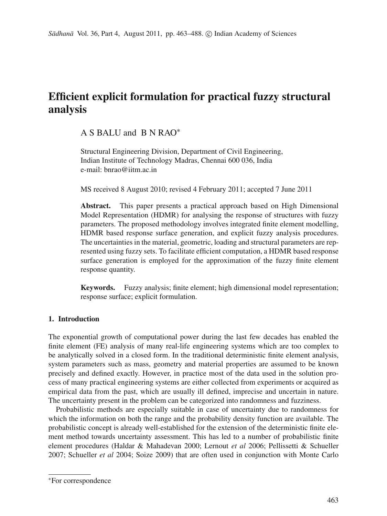# **Efficient explicit formulation for practical fuzzy structural analysis**

# A S BALU and B N RAO<sup>∗</sup>

Structural Engineering Division, Department of Civil Engineering, Indian Institute of Technology Madras, Chennai 600 036, India e-mail: bnrao@iitm.ac.in

MS received 8 August 2010; revised 4 February 2011; accepted 7 June 2011

**Abstract.** This paper presents a practical approach based on High Dimensional Model Representation (HDMR) for analysing the response of structures with fuzzy parameters. The proposed methodology involves integrated finite element modelling, HDMR based response surface generation, and explicit fuzzy analysis procedures. The uncertainties in the material, geometric, loading and structural parameters are represented using fuzzy sets. To facilitate efficient computation, a HDMR based response surface generation is employed for the approximation of the fuzzy finite element response quantity.

**Keywords.** Fuzzy analysis; finite element; high dimensional model representation; response surface; explicit formulation.

# **1. Introduction**

The exponential growth of computational power during the last few decades has enabled the finite element (FE) analysis of many real-life engineering systems which are too complex to be analytically solved in a closed form. In the traditional deterministic finite element analysis, system parameters such as mass, geometry and material properties are assumed to be known precisely and defined exactly. However, in practice most of the data used in the solution process of many practical engineering systems are either collected from experiments or acquired as empirical data from the past, which are usually ill defined, imprecise and uncertain in nature. The uncertainty present in the problem can be categorized into randomness and fuzziness.

Probabilistic methods are especially suitable in case of uncertainty due to randomness for which the information on both the range and the probability density function are available. The probabilistic concept is already well-established for the extension of the deterministic finite element method towards uncertainty assessment. This has led to a number of probabilistic finite element procedures (Haldar & Mahadevan 2000; Lernout *et al* 2006; Pellissetti & Schueller 2007; Schueller *et al* 2004; Soize 2009) that are often used in conjunction with Monte Carlo

<sup>∗</sup>For correspondence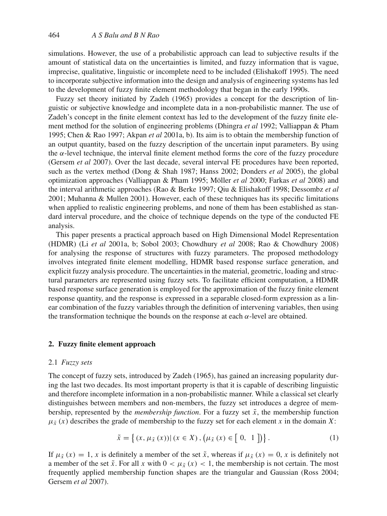simulations. However, the use of a probabilistic approach can lead to subjective results if the amount of statistical data on the uncertainties is limited, and fuzzy information that is vague, imprecise, qualitative, linguistic or incomplete need to be included (Elishakoff 1995). The need to incorporate subjective information into the design and analysis of engineering systems has led to the development of fuzzy finite element methodology that began in the early 1990s.

Fuzzy set theory initiated by Zadeh (1965) provides a concept for the description of linguistic or subjective knowledge and incomplete data in a non-probabilistic manner. The use of Zadeh's concept in the finite element context has led to the development of the fuzzy finite element method for the solution of engineering problems (Dhingra *et al* 1992; Valliappan & Pham 1995; Chen & Rao 1997; Akpan *et al* 2001a, b). Its aim is to obtain the membership function of an output quantity, based on the fuzzy description of the uncertain input parameters. By using the α-level technique, the interval finite element method forms the core of the fuzzy procedure (Gersem *et al* 2007). Over the last decade, several interval FE procedures have been reported, such as the vertex method (Dong & Shah 1987; Hanss 2002; Donders *et al* 2005), the global optimization approaches (Valliappan & Pham 1995; Möller *et al* 2000; Farkas *et al* 2008) and the interval arithmetic approaches (Rao & Berke 1997; Qiu & Elishakoff 1998; Dessombz *et al* 2001; Muhanna & Mullen 2001). However, each of these techniques has its specific limitations when applied to realistic engineering problems, and none of them has been established as standard interval procedure, and the choice of technique depends on the type of the conducted FE analysis.

This paper presents a practical approach based on High Dimensional Model Representation (HDMR) (Li *et al* 2001a, b; Sobol 2003; Chowdhury *et al* 2008; Rao & Chowdhury 2008) for analysing the response of structures with fuzzy parameters. The proposed methodology involves integrated finite element modelling, HDMR based response surface generation, and explicit fuzzy analysis procedure. The uncertainties in the material, geometric, loading and structural parameters are represented using fuzzy sets. To facilitate efficient computation, a HDMR based response surface generation is employed for the approximation of the fuzzy finite element response quantity, and the response is expressed in a separable closed-form expression as a linear combination of the fuzzy variables through the definition of intervening variables, then using the transformation technique the bounds on the response at each  $\alpha$ -level are obtained.

# **2. Fuzzy finite element approach**

#### 2.1 *Fuzzy sets*

The concept of fuzzy sets, introduced by Zadeh (1965), has gained an increasing popularity during the last two decades. Its most important property is that it is capable of describing linguistic and therefore incomplete information in a non-probabilistic manner. While a classical set clearly distinguishes between members and non-members, the fuzzy set introduces a degree of membership, represented by the *membership function*. For a fuzzy set  $\tilde{x}$ , the membership function  $\mu_{\tilde{x}}(x)$  describes the grade of membership to the fuzzy set for each element *x* in the domain *X*:

$$
\tilde{x} = \{(x, \mu_{\tilde{x}}(x)) | (x \in X), (\mu_{\tilde{x}}(x) \in [0, 1])\}.
$$
 (1)

If  $\mu_{\tilde{x}}(x) = 1$ , *x* is definitely a member of the set  $\tilde{x}$ , whereas if  $\mu_{\tilde{x}}(x) = 0$ , *x* is definitely not a member of the set  $\tilde{x}$ . For all *x* with  $0 < \mu_{\tilde{x}}(x) < 1$ , the membership is not certain. The most frequently applied membership function shapes are the triangular and Gaussian (Ross 2004; Gersem *et al* 2007).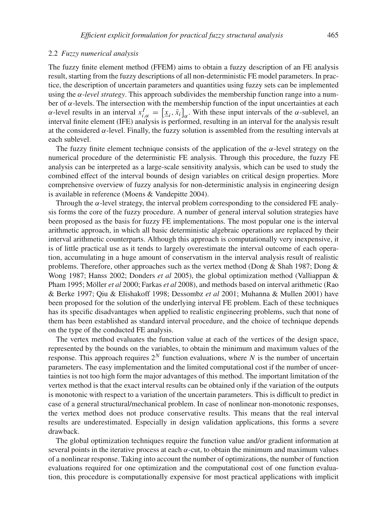#### 2.2 *Fuzzy numerical analysis*

The fuzzy finite element method (FFEM) aims to obtain a fuzzy description of an FE analysis result, starting from the fuzzy descriptions of all non-deterministic FE model parameters. In practice, the description of uncertain parameters and quantities using fuzzy sets can be implemented using the  $\alpha$ -*level strategy*. This approach subdivides the membership function range into a number of  $\alpha$ -levels. The intersection with the membership function of the input uncertainties at each  $\alpha$ -level results in an interval  $x_{i,\alpha}^I = [x_i, \bar{x}_i]_{\alpha}$ . With these input intervals of the  $\alpha$ -sublevel, an interval finite element (IFE) analysis is performed, resulting in an interval for the analysis result at the considered  $\alpha$ -level. Finally, the fuzzy solution is assembled from the resulting intervals at each sublevel.

The fuzzy finite element technique consists of the application of the  $\alpha$ -level strategy on the numerical procedure of the deterministic FE analysis. Through this procedure, the fuzzy FE analysis can be interpreted as a large-scale sensitivity analysis, which can be used to study the combined effect of the interval bounds of design variables on critical design properties. More comprehensive overview of fuzzy analysis for non-deterministic analysis in engineering design is available in reference (Moens & Vandepitte 2004).

Through the  $\alpha$ -level strategy, the interval problem corresponding to the considered FE analysis forms the core of the fuzzy procedure. A number of general interval solution strategies have been proposed as the basis for fuzzy FE implementations. The most popular one is the interval arithmetic approach, in which all basic deterministic algebraic operations are replaced by their interval arithmetic counterparts. Although this approach is computationally very inexpensive, it is of little practical use as it tends to largely overestimate the interval outcome of each operation, accumulating in a huge amount of conservatism in the interval analysis result of realistic problems. Therefore, other approaches such as the vertex method (Dong & Shah 1987; Dong & Wong 1987; Hanss 2002; Donders *et al* 2005), the global optimization method (Valliappan & Pham 1995; Möller *et al* 2000; Farkas *et al* 2008), and methods based on interval arithmetic (Rao & Berke 1997; Qiu & Elishakoff 1998; Dessombz *et al* 2001; Muhanna & Mullen 2001) have been proposed for the solution of the underlying interval FE problem. Each of these techniques has its specific disadvantages when applied to realistic engineering problems, such that none of them has been established as standard interval procedure, and the choice of technique depends on the type of the conducted FE analysis.

The vertex method evaluates the function value at each of the vertices of the design space, represented by the bounds on the variables, to obtain the minimum and maximum values of the response. This approach requires  $2^N$  function evaluations, where *N* is the number of uncertain parameters. The easy implementation and the limited computational cost if the number of uncertainties is not too high form the major advantages of this method. The important limitation of the vertex method is that the exact interval results can be obtained only if the variation of the outputs is monotonic with respect to a variation of the uncertain parameters. This is difficult to predict in case of a general structural/mechanical problem. In case of nonlinear non-monotonic responses, the vertex method does not produce conservative results. This means that the real interval results are underestimated. Especially in design validation applications, this forms a severe drawback.

The global optimization techniques require the function value and/or gradient information at several points in the iterative process at each  $\alpha$ -cut, to obtain the minimum and maximum values of a nonlinear response. Taking into account the number of optimizations, the number of function evaluations required for one optimization and the computational cost of one function evaluation, this procedure is computationally expensive for most practical applications with implicit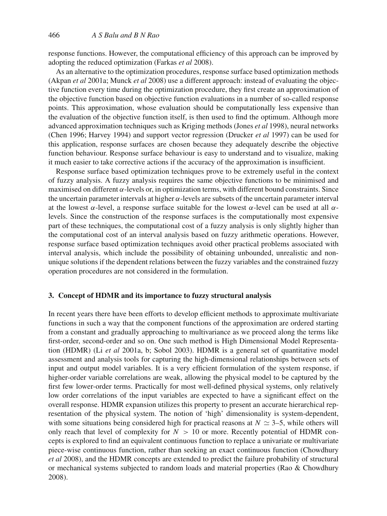response functions. However, the computational efficiency of this approach can be improved by adopting the reduced optimization (Farkas *et al* 2008).

As an alternative to the optimization procedures, response surface based optimization methods (Akpan *et al* 2001a; Munck *et al* 2008) use a different approach: instead of evaluating the objective function every time during the optimization procedure, they first create an approximation of the objective function based on objective function evaluations in a number of so-called response points. This approximation, whose evaluation should be computationally less expensive than the evaluation of the objective function itself, is then used to find the optimum. Although more advanced approximation techniques such as Kriging methods (Jones *et al* 1998), neural networks (Chen 1996; Harvey 1994) and support vector regression (Drucker *et al* 1997) can be used for this application, response surfaces are chosen because they adequately describe the objective function behaviour. Response surface behaviour is easy to understand and to visualize, making it much easier to take corrective actions if the accuracy of the approximation is insufficient.

Response surface based optimization techniques prove to be extremely useful in the context of fuzzy analysis. A fuzzy analysis requires the same objective functions to be minimised and maximised on different  $\alpha$ -levels or, in optimization terms, with different bound constraints. Since the uncertain parameter intervals at higher  $\alpha$ -levels are subsets of the uncertain parameter interval at the lowest  $\alpha$ -level, a response surface suitable for the lowest  $\alpha$ -level can be used at all  $\alpha$ levels. Since the construction of the response surfaces is the computationally most expensive part of these techniques, the computational cost of a fuzzy analysis is only slightly higher than the computational cost of an interval analysis based on fuzzy arithmetic operations. However, response surface based optimization techniques avoid other practical problems associated with interval analysis, which include the possibility of obtaining unbounded, unrealistic and nonunique solutions if the dependent relations between the fuzzy variables and the constrained fuzzy operation procedures are not considered in the formulation.

#### **3. Concept of HDMR and its importance to fuzzy structural analysis**

In recent years there have been efforts to develop efficient methods to approximate multivariate functions in such a way that the component functions of the approximation are ordered starting from a constant and gradually approaching to multivariance as we proceed along the terms like first-order, second-order and so on. One such method is High Dimensional Model Representation (HDMR) (Li *et al* 2001a, b; Sobol 2003). HDMR is a general set of quantitative model assessment and analysis tools for capturing the high-dimensional relationships between sets of input and output model variables. It is a very efficient formulation of the system response, if higher-order variable correlations are weak, allowing the physical model to be captured by the first few lower-order terms. Practically for most well-defined physical systems, only relatively low order correlations of the input variables are expected to have a significant effect on the overall response. HDMR expansion utilizes this property to present an accurate hierarchical representation of the physical system. The notion of 'high' dimensionality is system-dependent, with some situations being considered high for practical reasons at  $N \approx 3-5$ , while others will only reach that level of complexity for  $N > 10$  or more. Recently potential of HDMR concepts is explored to find an equivalent continuous function to replace a univariate or multivariate piece-wise continuous function, rather than seeking an exact continuous function (Chowdhury *et al* 2008), and the HDMR concepts are extended to predict the failure probability of structural or mechanical systems subjected to random loads and material properties (Rao & Chowdhury 2008).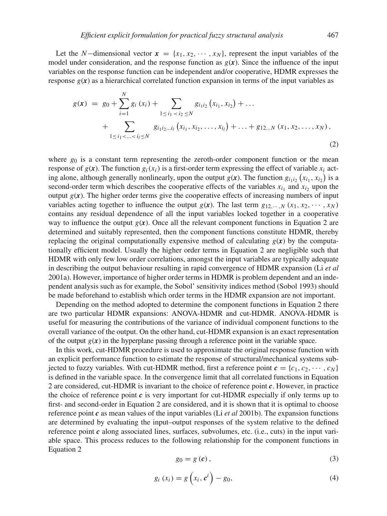Let the *N*−dimensional vector  $x = \{x_1, x_2, \dots, x_N\}$ , represent the input variables of the model under consideration, and the response function as  $g(x)$ . Since the influence of the input variables on the response function can be independent and/or cooperative, HDMR expresses the response  $g(x)$  as a hierarchical correlated function expansion in terms of the input variables as

$$
g(\mathbf{x}) = g_0 + \sum_{i=1}^N g_i(x_i) + \sum_{1 \le i_1 < i_2 \le N} g_{i_1 i_2}(x_{i_1}, x_{i_2}) + \dots + \sum_{1 \le i_1 < \dots < i_l \le N} g_{i_1 i_2 \dots i_l}(x_{i_1}, x_{i_2}, \dots, x_{i_l}) + \dots + g_{12 \dots N}(x_1, x_2, \dots, x_N),
$$
\n(2)

where  $g_0$  is a constant term representing the zeroth-order component function or the mean response of  $g(x)$ . The function  $g_i(x_i)$  is a first-order term expressing the effect of variable  $x_i$  acting alone, although generally nonlinearly, upon the output  $g(x)$ . The function  $g_{i_1 i_2}(x_{i_1}, x_{i_2})$  is a second-order term which describes the cooperative effects of the variables  $x_{i_1}$  and  $x_{i_2}$  upon the output  $g(x)$ . The higher order terms give the cooperative effects of increasing numbers of input variables acting together to influence the output  $g(x)$ . The last term  $g_{12} \dots N(x_1, x_2, \dots, x_N)$ contains any residual dependence of all the input variables locked together in a cooperative way to influence the output  $g(x)$ . Once all the relevant component functions in Equation 2 are determined and suitably represented, then the component functions constitute HDMR, thereby replacing the original computationally expensive method of calculating  $g(x)$  by the computationally efficient model. Usually the higher order terms in Equation 2 are negligible such that HDMR with only few low order correlations, amongst the input variables are typically adequate in describing the output behaviour resulting in rapid convergence of HDMR expansion (Li *et al* 2001a). However, importance of higher order terms in HDMR is problem dependent and an independent analysis such as for example, the Sobol' sensitivity indices method (Sobol 1993) should be made beforehand to establish which order terms in the HDMR expansion are not important.

Depending on the method adopted to determine the component functions in Equation 2 there are two particular HDMR expansions: ANOVA-HDMR and cut-HDMR. ANOVA-HDMR is useful for measuring the contributions of the variance of individual component functions to the overall variance of the output. On the other hand, cut-HDMR expansion is an exact representation of the output  $g(x)$  in the hyperplane passing through a reference point in the variable space.

In this work, cut-HDMR procedure is used to approximate the original response function with an explicit performance function to estimate the response of structural/mechanical systems subjected to fuzzy variables. With cut-HDMR method, first a reference point  $\mathbf{c} = \{c_1, c_2, \cdots, c_N\}$ is defined in the variable space. In the convergence limit that all correlated functions in Equation 2 are considered, cut-HDMR is invariant to the choice of reference point *c*. However, in practice the choice of reference point  $c$  is very important for cut-HDMR especially if only terms up to first- and second-order in Equation 2 are considered, and it is shown that it is optimal to choose reference point *c* as mean values of the input variables (Li *et al* 2001b). The expansion functions are determined by evaluating the input–output responses of the system relative to the defined reference point *c* along associated lines, surfaces, subvolumes, etc. (i.e., cuts) in the input variable space. This process reduces to the following relationship for the component functions in Equation 2

$$
g_0 = g(c), \tag{3}
$$

$$
g_i(x_i) = g\left(x_i, \mathbf{c}^i\right) - g_0,\tag{4}
$$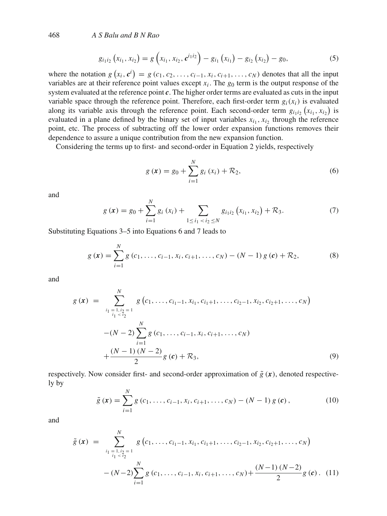468 *A S Balu and B N Rao*

$$
g_{i_1i_2}(x_{i_1}, x_{i_2}) = g\left(x_{i_1}, x_{i_2}, c^{i_1i_2}\right) - g_{i_1}(x_{i_1}) - g_{i_2}(x_{i_2}) - g_0,
$$
\n(5)

where the notation  $g(x_i, c^i) = g(c_1, c_2, \ldots, c_{i-1}, x_i, c_{i+1}, \ldots, c_N)$  denotes that all the input variables are at their reference point values except  $x_i$ . The  $g_0$  term is the output response of the system evaluated at the reference point *c*. The higher order terms are evaluated as cuts in the input variable space through the reference point. Therefore, each first-order term  $g_i(x_i)$  is evaluated along its variable axis through the reference point. Each second-order term  $g_{i_1 i_2}(x_{i_1}, x_{i_2})$  is evaluated in a plane defined by the binary set of input variables  $x_{i_1}, x_{i_2}$  through the reference point, etc. The process of subtracting off the lower order expansion functions removes their dependence to assure a unique contribution from the new expansion function.

Considering the terms up to first- and second-order in Equation 2 yields, respectively

$$
g(x) = g_0 + \sum_{i=1}^{N} g_i(x_i) + \mathcal{R}_2,
$$
\n(6)

and

$$
g\left(\boldsymbol{x}\right) = g_0 + \sum_{i=1}^N g_i\left(x_i\right) + \sum_{1 \leq i_1 < i_2 \leq N} g_{i_1 i_2}\left(x_{i_1}, x_{i_2}\right) + \mathcal{R}_3. \tag{7}
$$

Substituting Equations 3–5 into Equations 6 and 7 leads to

$$
g\left(\boldsymbol{x}\right) = \sum_{i=1}^{N} g\left(c_1, \ldots, c_{i-1}, x_i, c_{i+1}, \ldots, c_N\right) - \left(N - 1\right) g\left(\boldsymbol{c}\right) + \mathcal{R}_2,\tag{8}
$$

and

$$
g(x) = \sum_{\substack{i_1 = 1, i_2 = 1 \\ i_1 < i_2}}^N g(c_1, \dots, c_{i_1-1}, x_{i_1}, c_{i_1+1}, \dots, c_{i_2-1}, x_{i_2}, c_{i_2+1}, \dots, c_N)} \\
-(N-2) \sum_{i=1}^N g(c_1, \dots, c_{i-1}, x_i, c_{i+1}, \dots, c_N) \\
+\frac{(N-1)(N-2)}{2} g(c) + \mathcal{R}_3,
$$
\n
$$
(9)
$$

respectively. Now consider first- and second-order approximation of  $\tilde{g}(x)$ , denoted respectively by

$$
\tilde{g}(\mathbf{x}) = \sum_{i=1}^{N} g(c_1, \dots, c_{i-1}, x_i, c_{i+1}, \dots, c_N) - (N-1) g(\mathbf{c}), \tag{10}
$$

and

$$
\tilde{g}(\mathbf{x}) = \sum_{i_1 = 1, i_2 = 1 \atop i_1 < i_2}^{N} g(c_1, \ldots, c_{i_1-1}, x_{i_1}, c_{i_1+1}, \ldots, c_{i_2-1}, x_{i_2}, c_{i_2+1}, \ldots, c_N)
$$

$$
-(N-2) \sum_{i=1}^{N} g(c_1, \ldots, c_{i-1}, x_i, c_{i+1}, \ldots, c_N) + \frac{(N-1)(N-2)}{2} g(\mathbf{c}). \quad (11)
$$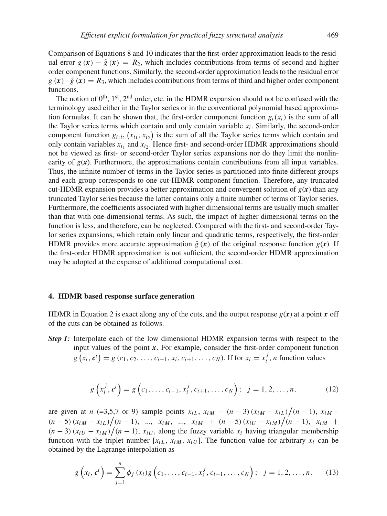Comparison of Equations 8 and 10 indicates that the first-order approximation leads to the residual error  $g(x) - \tilde{g}(x) = R_2$ , which includes contributions from terms of second and higher order component functions. Similarly, the second-order approximation leads to the residual error  $g(x) - \tilde{g}(x) = R_3$ , which includes contributions from terms of third and higher order component functions.

The notion of  $0^{\text{th}}$ , 1<sup>st</sup>, 2<sup>nd</sup> order, etc. in the HDMR expansion should not be confused with the terminology used either in the Taylor series or in the conventional polynomial based approximation formulas. It can be shown that, the first-order component function  $g_i(x_i)$  is the sum of all the Taylor series terms which contain and only contain variable *xi* . Similarly, the second-order component function  $g_{i_1 i_2}(x_{i_1}, x_{i_2})$  is the sum of all the Taylor series terms which contain and only contain variables  $x_{i_1}$  and  $x_{i_2}$ . Hence first- and second-order HDMR approximations should not be viewed as first- or second-order Taylor series expansions nor do they limit the nonlinearity of  $g(x)$ . Furthermore, the approximations contain contributions from all input variables. Thus, the infinite number of terms in the Taylor series is partitioned into finite different groups and each group corresponds to one cut-HDMR component function. Therefore, any truncated cut-HDMR expansion provides a better approximation and convergent solution of  $g(x)$  than any truncated Taylor series because the latter contains only a finite number of terms of Taylor series. Furthermore, the coefficients associated with higher dimensional terms are usually much smaller than that with one-dimensional terms. As such, the impact of higher dimensional terms on the function is less, and therefore, can be neglected. Compared with the first- and second-order Taylor series expansions, which retain only linear and quadratic terms, respectively, the first-order HDMR provides more accurate approximation  $\tilde{g}(x)$  of the original response function  $g(x)$ . If the first-order HDMR approximation is not sufficient, the second-order HDMR approximation may be adopted at the expense of additional computational cost.

# **4. HDMR based response surface generation**

HDMR in Equation 2 is exact along any of the cuts, and the output response  $g(x)$  at a point *x* off of the cuts can be obtained as follows.

*Step 1:* Interpolate each of the low dimensional HDMR expansion terms with respect to the input values of the point *x*. For example, consider the first-order component function  $g(x_i, c^i) = g(c_1, c_2, \ldots, c_{i-1}, x_i, c_{i+1}, \ldots, c_N)$ . If for  $x_i = x_i^j$ , *n* function values

$$
g(x_i^j, c^i) = g(c_1, \dots, c_{i-1}, x_i^j, c_{i+1}, \dots, c_N); \quad j = 1, 2, \dots, n,
$$
 (12)

are given at *n* (=3,5,7 or 9) sample points  $x_{iL}$ ,  $x_{iM} - (n-3)(x_{iM} - x_{iL})/(n-1)$ ,  $x_{iM} (n-5) (x_{iM} - x_{iL})/(n-1), \ldots, x_{iM}, \ldots, x_{iM} + (n-5) (x_{iU} - x_{iM})/(n-1), x_{iM}$  $(n-3)$   $(x_{iU} - x_{iM})/(n-1)$ ,  $x_{iU}$ , along the fuzzy variable  $x_i$  having triangular membership function with the triplet number  $[x_{iL}, x_{iM}, x_{iU}]$ . The function value for arbitrary  $x_i$  can be obtained by the Lagrange interpolation as

$$
g(x_i, c^i) = \sum_{j=1}^n \phi_j(x_i) g(c_1, \dots, c_{i-1}, x_i^j, c_{i+1}, \dots, c_N); \quad j = 1, 2, \dots, n. \tag{13}
$$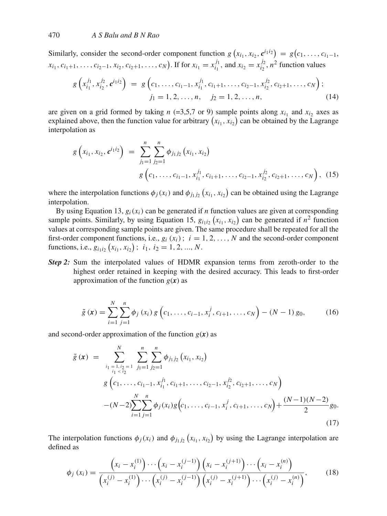Similarly, consider the second-order component function  $g(x_{i_1}, x_{i_2}, c^{i_1 i_2}) = g(c_1, \ldots, c_{i_1-1},$  $x_{i_1}, c_{i_1+1}, \ldots, c_{i_2-1}, x_{i_2}, c_{i_2+1}, \ldots, c_N$ . If for  $x_{i_1} = x_{i_1}^{j_1}$ , and  $x_{i_2} = x_{i_2}^{j_2}$ ,  $n^2$  function values

$$
g\left(x_{i_1}^{j_1}, x_{i_2}^{j_2}, c^{i_1 i_2}\right) = g\left(c_1, \dots, c_{i_1-1}, x_{i_1}^{j_1}, c_{i_1+1}, \dots, c_{i_2-1}, x_{i_2}^{j_2}, c_{i_2+1}, \dots, c_N\right);
$$
  
\n
$$
j_1 = 1, 2, \dots, n, \quad j_2 = 1, 2, \dots, n,
$$
\n(14)

are given on a grid formed by taking  $n$  (=3,5,7 or 9) sample points along  $x_{i_1}$  and  $x_{i_2}$  axes as explained above, then the function value for arbitrary  $(x_{i_1}, x_{i_2})$  can be obtained by the Lagrange interpolation as

$$
g\left(x_{i_1}, x_{i_2}, c^{i_1 i_2}\right) = \sum_{j_1=1}^n \sum_{j_2=1}^n \phi_{j_1 j_2}\left(x_{i_1}, x_{i_2}\right)
$$

$$
g\left(c_1, \ldots, c_{i_1-1}, x_{i_1}^{j_1}, c_{i_1+1}, \ldots, c_{i_2-1}, x_{i_2}^{j_2}, c_{i_2+1}, \ldots, c_N\right), \quad (15)
$$

where the interpolation functions  $\phi_j(x_i)$  and  $\phi_{j_1 j_2}(x_{i_1}, x_{i_2})$  can be obtained using the Lagrange interpolation.

By using Equation 13,  $g_i(x_i)$  can be generated if *n* function values are given at corresponding sample points. Similarly, by using Equation 15,  $g_{i_1 i_2}(x_{i_1}, x_{i_2})$  can be generated if  $n^2$  function values at corresponding sample points are given. The same procedure shall be repeated for all the first-order component functions, i.e.,  $g_i(x_i)$ ;  $i = 1, 2, ..., N$  and the second-order component functions, i.e.,  $g_{i_1 i_2}(x_{i_1}, x_{i_2})$ ;  $i_1, i_2 = 1, 2, ..., N$ .

*Step 2:* Sum the interpolated values of HDMR expansion terms from zeroth-order to the highest order retained in keeping with the desired accuracy. This leads to first-order approximation of the function  $g(x)$  as

$$
\tilde{g}(\mathbf{x}) = \sum_{i=1}^{N} \sum_{j=1}^{n} \phi_j(x_i) g\left(c_1, \dots, c_{i-1}, x_i^j, c_{i+1}, \dots, c_N\right) - (N-1) g_0, \tag{16}
$$

and second-order approximation of the function  $g(x)$  as

$$
\tilde{g}(\mathbf{x}) = \sum_{i_1 = 1, i_2 = 1 \atop i_1 < i_2 = 1}^N \sum_{j_1 = 1}^n \sum_{j_2 = 1}^n \phi_{j_1 j_2} (x_{i_1}, x_{i_2})
$$
\n
$$
g\left(c_1, \ldots, c_{i_1 - 1}, x_{i_1}^{j_1}, c_{i_1 + 1}, \ldots, c_{i_2 - 1}, x_{i_2}^{j_2}, c_{i_2 + 1}, \ldots, c_N\right)
$$
\n
$$
-(N-2) \sum_{i=1}^N \sum_{j=1}^n \phi_j(x_i) g\left(c_1, \ldots, c_{i-1}, x_i^j, c_{i+1}, \ldots, c_N\right) + \frac{(N-1)(N-2)}{2} g_0.
$$
\n(17)

The interpolation functions  $\phi_j(x_i)$  and  $\phi_{j_1 j_2}(x_{i_1}, x_{i_2})$  by using the Lagrange interpolation are defined as

$$
\phi_j(x_i) = \frac{\left(x_i - x_i^{(1)}\right) \cdots \left(x_i - x_i^{(j-1)}\right) \left(x_i - x_i^{(j+1)}\right) \cdots \left(x_i - x_i^{(n)}\right)}{\left(x_i^{(j)} - x_i^{(1)}\right) \cdots \left(x_i^{(j)} - x_i^{(j-1)}\right) \left(x_i^{(j)} - x_i^{(j+1)}\right) \cdots \left(x_i^{(j)} - x_i^{(n)}\right)},\tag{18}
$$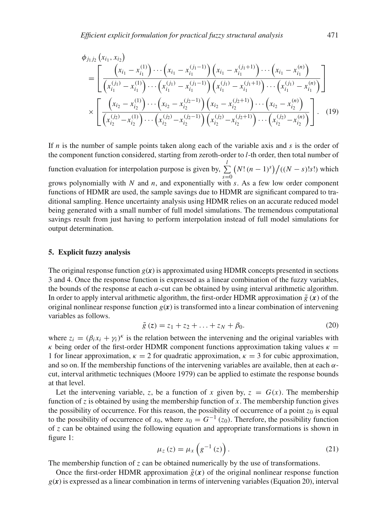$$
\phi_{j_1 j_2}(x_{i_1}, x_{i_2}) = \left[ \frac{\left(x_{i_1} - x_{i_1}^{(1)}\right) \cdots \left(x_{i_1} - x_{i_1}^{(j_1 - 1)}\right) \left(x_{i_1} - x_{i_1}^{(j_1 + 1)}\right) \cdots \left(x_{i_1} - x_{i_1}^{(n)}\right)}{\left(x_{i_1}^{(j_1)} - x_{i_1}^{(1)}\right) \cdots \left(x_{i_1}^{(j_1)} - x_{i_1}^{(j_1 - 1)}\right) \left(x_{i_1}^{(j_1)} - x_{i_1}^{(j_1 + 1)}\right) \cdots \left(x_{i_1}^{(j_1)} - x_{i_1}^{(n)}\right)}\right] \times \left[ \frac{\left(x_{i_2} - x_{i_2}^{(1)}\right) \cdots \left(x_{i_2} - x_{i_2}^{(j_2 - 1)}\right) \left(x_{i_2} - x_{i_2}^{(j_2 + 1)}\right) \cdots \left(x_{i_2} - x_{i_2}^{(n)}\right)}{\left(x_{i_2}^{(j_2)} - x_{i_2}^{(1)}\right) \cdots \left(x_{i_2}^{(j_2)} - x_{i_2}^{(j_2 - 1)}\right) \left(x_{i_2}^{(j_2)} - x_{i_2}^{(j_2 + 1)}\right) \cdots \left(x_{i_2}^{(j_2)} - x_{i_2}^{(n)}\right)}\right]. \tag{19}
$$

If *n* is the number of sample points taken along each of the variable axis and *s* is the order of the component function considered, starting from zeroth-order to *l*-th order, then total number of

function evaluation for interpolation purpose is given by,  $\sum_{i=1}^{l}$ *s*=0  $(N!(n-1)^s)/( (N-s)!s!)$  which grows polynomially with *N* and *n*, and exponentially with *s*. As a few low order component functions of HDMR are used, the sample savings due to HDMR are significant compared to traditional sampling. Hence uncertainty analysis using HDMR relies on an accurate reduced model being generated with a small number of full model simulations. The tremendous computational savings result from just having to perform interpolation instead of full model simulations for output determination.

#### **5. Explicit fuzzy analysis**

The original response function  $g(x)$  is approximated using HDMR concepts presented in sections 3 and 4. Once the response function is expressed as a linear combination of the fuzzy variables, the bounds of the response at each  $\alpha$ -cut can be obtained by using interval arithmetic algorithm. In order to apply interval arithmetic algorithm, the first-order HDMR approximation  $\tilde{g}$  (*x*) of the original nonlinear response function  $g(x)$  is transformed into a linear combination of intervening variables as follows.

$$
\tilde{g}(z) = z_1 + z_2 + \dots + z_N + \beta_0. \tag{20}
$$

where  $z_i = (\beta_i x_i + \gamma_i)^k$  is the relation between the intervening and the original variables with  $\kappa$  being order of the first-order HDMR component functions approximation taking values  $\kappa$  = 1 for linear approximation,  $\kappa = 2$  for quadratic approximation,  $\kappa = 3$  for cubic approximation, and so on. If the membership functions of the intervening variables are available, then at each  $\alpha$ cut, interval arithmetic techniques (Moore 1979) can be applied to estimate the response bounds at that level.

Let the intervening variable, *z*, be a function of *x* given by,  $z = G(x)$ . The membership function of *z* is obtained by using the membership function of *x*. The membership function gives the possibility of occurrence. For this reason, the possibility of occurrence of a point  $z<sub>0</sub>$  is equal to the possibility of occurrence of  $x_0$ , where  $x_0 = G^{-1}(z_0)$ . Therefore, the possibility function of *z* can be obtained using the following equation and appropriate transformations is shown in figure 1:

$$
\mu_{z}(z) = \mu_{x}\left(g^{-1}\left(z\right)\right). \tag{21}
$$

The membership function of *z* can be obtained numerically by the use of transformations.

Once the first-order HDMR approximation  $\tilde{g}(x)$  of the original nonlinear response function  $g(x)$  is expressed as a linear combination in terms of intervening variables (Equation 20), interval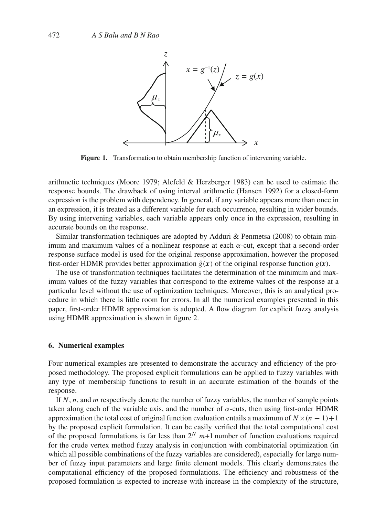

**Figure 1.** Transformation to obtain membership function of intervening variable.

arithmetic techniques (Moore 1979; Alefeld  $&$  Herzberger 1983) can be used to estimate the response bounds. The drawback of using interval arithmetic (Hansen 1992) for a closed-form expression is the problem with dependency. In general, if any variable appears more than once in an expression, it is treated as a different variable for each occurrence, resulting in wider bounds. By using intervening variables, each variable appears only once in the expression, resulting in accurate bounds on the response.

Similar transformation techniques are adopted by Adduri & Penmetsa (2008) to obtain minimum and maximum values of a nonlinear response at each  $\alpha$ -cut, except that a second-order response surface model is used for the original response approximation, however the proposed first-order HDMR provides better approximation  $\tilde{g}(x)$  of the original response function  $g(x)$ .

The use of transformation techniques facilitates the determination of the minimum and maximum values of the fuzzy variables that correspond to the extreme values of the response at a particular level without the use of optimization techniques. Moreover, this is an analytical procedure in which there is little room for errors. In all the numerical examples presented in this paper, first-order HDMR approximation is adopted. A flow diagram for explicit fuzzy analysis using HDMR approximation is shown in figure 2.

#### **6. Numerical examples**

Four numerical examples are presented to demonstrate the accuracy and efficiency of the proposed methodology. The proposed explicit formulations can be applied to fuzzy variables with any type of membership functions to result in an accurate estimation of the bounds of the response.

If *N*, *n*, and *m* respectively denote the number of fuzzy variables, the number of sample points taken along each of the variable axis, and the number of  $\alpha$ -cuts, then using first-order HDMR approximation the total cost of original function evaluation entails a maximum of  $N \times (n-1)+1$ by the proposed explicit formulation. It can be easily verified that the total computational cost of the proposed formulations is far less than  $2^N$   $m+1$  number of function evaluations required for the crude vertex method fuzzy analysis in conjunction with combinatorial optimization (in which all possible combinations of the fuzzy variables are considered), especially for large number of fuzzy input parameters and large finite element models. This clearly demonstrates the computational efficiency of the proposed formulations. The efficiency and robustness of the proposed formulation is expected to increase with increase in the complexity of the structure,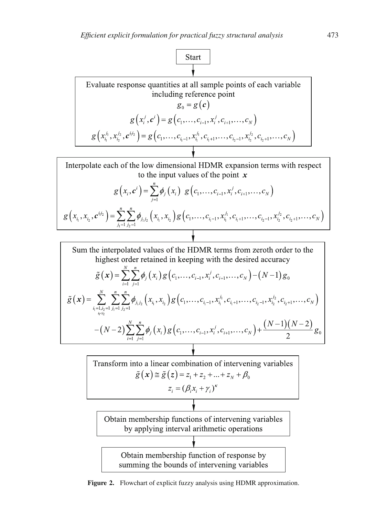

Interpolate each of the low dimensional HDMR expansion terms with respect  
\nto the input values of the point **x**  
\n
$$
g(x_i, c^i) = \sum_{j=1}^n \phi_j(x_i) g(c_1, ..., c_{i-1}, x_i^j, c_{i+1}, ..., c_N)
$$
\n
$$
g(x_{i_1}, x_{i_2}, c^{i_1 i_2}) = \sum_{j=1}^n \sum_{j_2=1}^n \phi_{j_1 j_2}(x_{i_1}, x_{i_2}) g(c_1, ..., c_{i_1-1}, x_{i_1}^{j_1}, c_{i_1+1}, ..., c_{i_2-1}, x_{i_2}^{j_2}, c_{i_2+1}, ..., c_N)
$$

Sum the interpolated values of the HDMR terms from zeroth order to the highest order retained in keeping with the desired accuracy  $\tilde{g}(x) = \sum_{i=1}^{N} \sum_{i=1}^{n} \phi_i(x_i) g(c_1, \ldots, c_{i-1}, x_i^j, c_{i+1}, \ldots, c_N) - (N-1) g_0$  $\tilde{g}\left(\boldsymbol{x}\right) = \sum_{\substack{i_1 = 1, i_2 = 1 \\ i_1 \leq j_1 \leq n}}^{N} \sum_{j_1 = 1}^{n} \sum_{j_2 = 1}^{n} \phi_{j_1 j_2}\left(x_{i_1}, x_{i_2}\right) g\left(c_1, \ldots, c_{i_1 - 1}, x_{i_1}^{j_1}, c_{i_1 + 1}, \ldots, c_{i_2 - 1}, x_{i_2}^{j_2}, c_{i_2 + 1}, \ldots, c_N\right)$  $-(N-2)\sum_{i=1}^N\sum_{j=1}^n\phi_j(x_i)g(c_1,\ldots,c_{i-1},x_i^j,c_{i+1},\ldots,c_N)+\frac{(N-1)(N-2)}{2}g_0$ 

Transform into a linear combination of intervening variables  $\tilde{g}(x) \approx \tilde{g}(z) = z_1 + z_2 + ... + z_N + \beta_0$  $z_i = (\beta_i x_i + \gamma_i)^{\kappa}$ Obtain membership functions of intervening variables by applying interval arithmetic operations Obtain membership function of response by summing the bounds of intervening variables

**Figure 2.** Flowchart of explicit fuzzy analysis using HDMR approximation.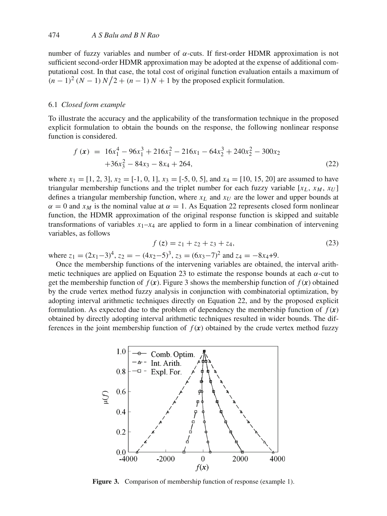number of fuzzy variables and number of  $\alpha$ -cuts. If first-order HDMR approximation is not sufficient second-order HDMR approximation may be adopted at the expense of additional computational cost. In that case, the total cost of original function evaluation entails a maximum of  $(n-1)^2 (N-1) N/2 + (n-1) N + 1$  by the proposed explicit formulation.

#### 6.1 *Closed form example*

To illustrate the accuracy and the applicability of the transformation technique in the proposed explicit formulation to obtain the bounds on the response, the following nonlinear response function is considered.

$$
f(x) = 16x_1^4 - 96x_1^3 + 216x_1^2 - 216x_1 - 64x_2^3 + 240x_2^2 - 300x_2
$$
  
+36x<sub>3</sub><sup>2</sup> - 84x<sub>3</sub> - 8x<sub>4</sub> + 264, (22)

where  $x_1 = [1, 2, 3], x_2 = [-1, 0, 1], x_3 = [-5, 0, 5],$  and  $x_4 = [10, 15, 20]$  are assumed to have triangular membership functions and the triplet number for each fuzzy variable  $[x_L, x_M, x_U]$ defines a triangular membership function, where  $x_L$  and  $x_U$  are the lower and upper bounds at  $\alpha = 0$  and  $x_M$  is the nominal value at  $\alpha = 1$ . As Equation 22 represents closed form nonlinear function, the HDMR approximation of the original response function is skipped and suitable transformations of variables  $x_1-x_4$  are applied to form in a linear combination of intervening variables, as follows

$$
f(z) = z_1 + z_2 + z_3 + z_4, \tag{23}
$$

where  $z_1 = (2x_1 - 3)^4$ ,  $z_2 = -(4x_2 - 5)^3$ ,  $z_3 = (6x_3 - 7)^2$  and  $z_4 = -8x_4 + 9$ .

Once the membership functions of the intervening variables are obtained, the interval arithmetic techniques are applied on Equation 23 to estimate the response bounds at each  $\alpha$ -cut to get the membership function of  $f(x)$ . Figure 3 shows the membership function of  $f(x)$  obtained by the crude vertex method fuzzy analysis in conjunction with combinatorial optimization, by adopting interval arithmetic techniques directly on Equation 22, and by the proposed explicit formulation. As expected due to the problem of dependency the membership function of  $f(\mathbf{x})$ obtained by directly adopting interval arithmetic techniques resulted in wider bounds. The differences in the joint membership function of  $f(x)$  obtained by the crude vertex method fuzzy



**Figure 3.** Comparison of membership function of response (example 1).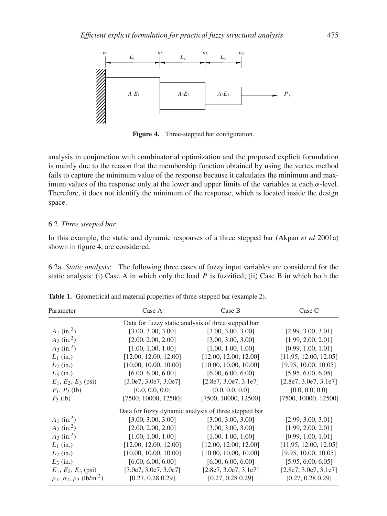

Figure 4. Three-stepped bar configuration.

analysis in conjunction with combinatorial optimization and the proposed explicit formulation is mainly due to the reason that the membership function obtained by using the vertex method fails to capture the minimum value of the response because it calculates the minimum and maximum values of the response only at the lower and upper limits of the variables at each  $\alpha$ -level. Therefore, it does not identify the minimum of the response, which is located inside the design space.

# 6.2 *Three steeped bar*

In this example, the static and dynamic responses of a three stepped bar (Akpan *et al* 2001a) shown in figure 4, are considered.

6.2a *Static analysis*: The following three cases of fuzzy input variables are considered for the static analysis: (i) Case A in which only the load  $P$  is fuzzified; (ii) Case B in which both the

| Parameter                                             | Case A                                               | Case B                | Case C                |
|-------------------------------------------------------|------------------------------------------------------|-----------------------|-----------------------|
|                                                       | Data for fuzzy static analysis of three stepped bar  |                       |                       |
| $A_1$ (in. <sup>2</sup> )                             | [3.00, 3.00, 3.00]                                   | [3.00, 3.00, 3.00]    | [2.99, 3.00, 3.01]    |
| $A_2$ (in. <sup>2</sup> )                             | [2.00, 2.00, 2.00]                                   | [3.00, 3.00, 3.00]    | [1.99, 2.00, 2.01]    |
| $A_3$ (in. <sup>2</sup> )                             | [1.00, 1.00, 1.00]                                   | [1.00, 1.00, 1.00]    | [0.99, 1.00, 1.01]    |
| $L_1$ (in.)                                           | [12.00, 12.00, 12.00]                                | [12.00, 12.00, 12.00] | [11.95, 12.00, 12.05] |
| $L_2$ (in.)                                           | [10.00, 10.00, 10.00]                                | [10.00, 10.00, 10.00] | [9.95, 10.00, 10.05]  |
| $L_3$ (in.)                                           | [6.00, 6.00, 6.00]                                   | [6.00, 6.00, 6.00]    | [5.95, 6.00, 6.05]    |
| $E_1, E_2, E_3$ (psi)                                 | [3.0e7, 3.0e7, 3.0e7]                                | [2.8e7, 3.0e7, 3.1e7] | [2.8e7, 3.0e7, 3.1e7] |
| $P_1, P_2$ (lb)                                       | [0.0, 0.0, 0.0]                                      | [0.0, 0.0, 0.0]       | [0.0, 0.0, 0.0]       |
| $P_3$ (lb)                                            | [7500, 10000, 12500]                                 | [7500, 10000, 12500]  | [7500, 10000, 12500]  |
|                                                       | Data for fuzzy dynamic analysis of three stepped bar |                       |                       |
| $A_1$ (in. <sup>2</sup> )                             | [3.00, 3.00, 3.00]                                   | [3.00, 3.00, 3.00]    | [2.99, 3.00, 3.01]    |
| $A_2$ (in. <sup>2</sup> )                             | [2.00, 2.00, 2.00]                                   | [3.00, 3.00, 3.00]    | [1.99, 2.00, 2.01]    |
| $A_3$ (in. <sup>2</sup> )                             | [1.00, 1.00, 1.00]                                   | [1.00, 1.00, 1.00]    | [0.99, 1.00, 1.01]    |
| $L_1$ (in.)                                           | [12.00, 12.00, 12.00]                                | [12.00, 12.00, 12.00] | [11.95, 12.00, 12.05] |
| $L_2$ (in.)                                           | [10.00, 10.00, 10.00]                                | [10.00, 10.00, 10.00] | [9.95, 10.00, 10.05]  |
| $L_3$ (in.)                                           | [6.00, 6.00, 6.00]                                   | [6.00, 6.00, 6.00]    | [5.95, 6.00, 6.05]    |
| $E_1, E_2, E_3$ (psi)                                 | [3.0e7, 3.0e7, 3.0e7]                                | [2.8e7, 3.0e7, 3.1e7] | [2.8e7, 3.0e7, 3.1e7] |
| $\rho_1$ , $\rho_2$ , $\rho_3$ (lb/in. <sup>3</sup> ) | [0.27, 0.28, 0.29]                                   | [0.27, 0.28, 0.29]    | [0.27, 0.28, 0.29]    |

**Table 1.** Geometrical and material properties of three-stepped bar (example 2).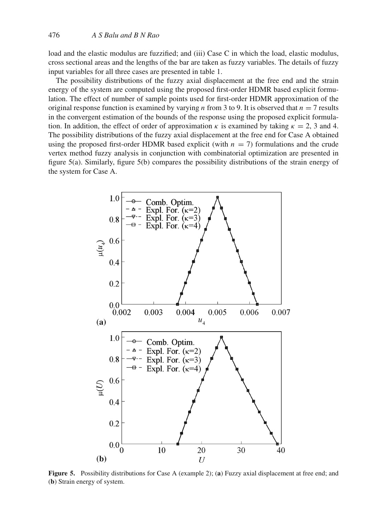load and the elastic modulus are fuzzified; and (iii) Case C in which the load, elastic modulus, cross sectional areas and the lengths of the bar are taken as fuzzy variables. The details of fuzzy input variables for all three cases are presented in table 1.

The possibility distributions of the fuzzy axial displacement at the free end and the strain energy of the system are computed using the proposed first-order HDMR based explicit formulation. The effect of number of sample points used for first-order HDMR approximation of the original response function is examined by varying *n* from 3 to 9. It is observed that  $n = 7$  results in the convergent estimation of the bounds of the response using the proposed explicit formulation. In addition, the effect of order of approximation  $\kappa$  is examined by taking  $\kappa = 2$ , 3 and 4. The possibility distributions of the fuzzy axial displacement at the free end for Case A obtained using the proposed first-order HDMR based explicit (with  $n = 7$ ) formulations and the crude vertex method fuzzy analysis in conjunction with combinatorial optimization are presented in figure 5(a). Similarly, figure 5(b) compares the possibility distributions of the strain energy of the system for Case A.



**Figure 5.** Possibility distributions for Case A (example 2); (**a**) Fuzzy axial displacement at free end; and (**b**) Strain energy of system.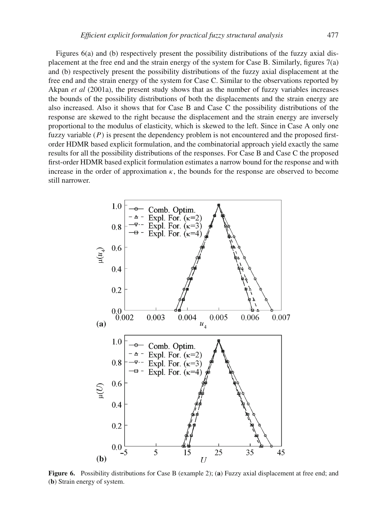Figures 6(a) and (b) respectively present the possibility distributions of the fuzzy axial displacement at the free end and the strain energy of the system for Case B. Similarly, figures 7(a) and (b) respectively present the possibility distributions of the fuzzy axial displacement at the free end and the strain energy of the system for Case C. Similar to the observations reported by Akpan *et al* (2001a), the present study shows that as the number of fuzzy variables increases the bounds of the possibility distributions of both the displacements and the strain energy are also increased. Also it shows that for Case B and Case C the possibility distributions of the response are skewed to the right because the displacement and the strain energy are inversely proportional to the modulus of elasticity, which is skewed to the left. Since in Case A only one fuzzy variable (*P*) is present the dependency problem is not encountered and the proposed firstorder HDMR based explicit formulation, and the combinatorial approach yield exactly the same results for all the possibility distributions of the responses. For Case B and Case C the proposed first-order HDMR based explicit formulation estimates a narrow bound for the response and with increase in the order of approximation  $\kappa$ , the bounds for the response are observed to become still narrower.



**Figure 6.** Possibility distributions for Case B (example 2); (**a**) Fuzzy axial displacement at free end; and (**b**) Strain energy of system.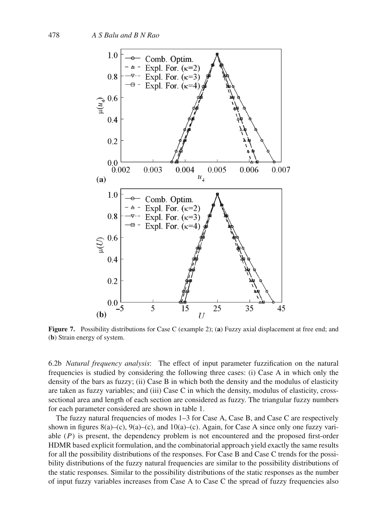

**Figure 7.** Possibility distributions for Case C (example 2); (**a**) Fuzzy axial displacement at free end; and (**b**) Strain energy of system.

6.2b *Natural frequency analysis*: The effect of input parameter fuzzification on the natural frequencies is studied by considering the following three cases: (i) Case A in which only the density of the bars as fuzzy; (ii) Case B in which both the density and the modulus of elasticity are taken as fuzzy variables; and (iii) Case C in which the density, modulus of elasticity, crosssectional area and length of each section are considered as fuzzy. The triangular fuzzy numbers for each parameter considered are shown in table 1.

The fuzzy natural frequencies of modes 1–3 for Case A, Case B, and Case C are respectively shown in figures  $8(a)$ –(c),  $9(a)$ –(c), and  $10(a)$ –(c). Again, for Case A since only one fuzzy variable (*P*) is present, the dependency problem is not encountered and the proposed first-order HDMR based explicit formulation, and the combinatorial approach yield exactly the same results for all the possibility distributions of the responses. For Case B and Case C trends for the possibility distributions of the fuzzy natural frequencies are similar to the possibility distributions of the static responses. Similar to the possibility distributions of the static responses as the number of input fuzzy variables increases from Case A to Case C the spread of fuzzy frequencies also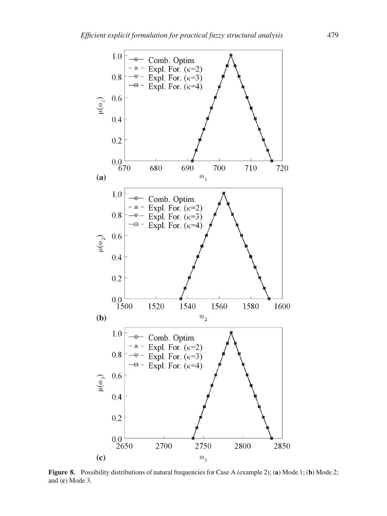

**Figure 8.** Possibility distributions of natural frequencies for Case A (example 2); (**a**) Mode 1; (**b**) Mode 2; and (**c**) Mode 3.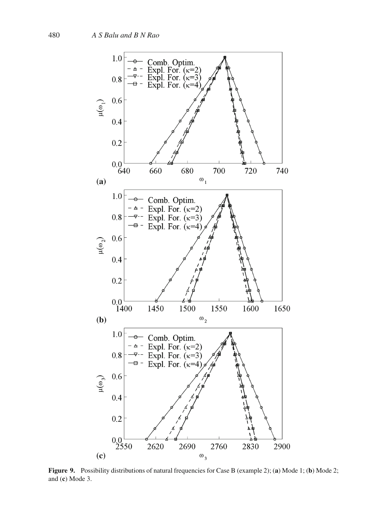

**Figure 9.** Possibility distributions of natural frequencies for Case B (example 2); (**a**) Mode 1; (**b**) Mode 2; and (**c**) Mode 3.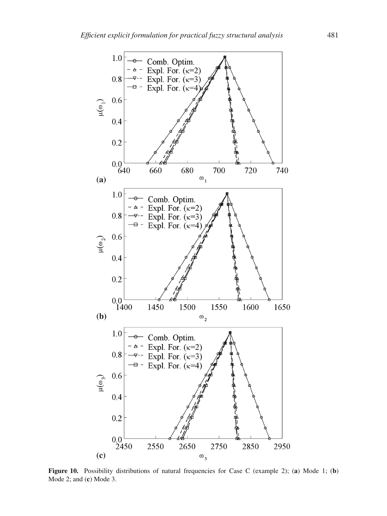

**Figure 10.** Possibility distributions of natural frequencies for Case C (example 2); (**a**) Mode 1; (**b**) Mode 2; and (**c**) Mode 3.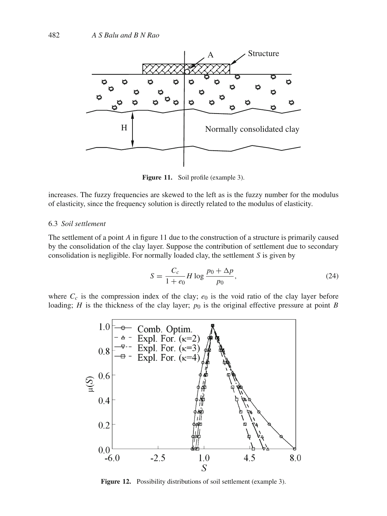

Figure 11. Soil profile (example 3).

increases. The fuzzy frequencies are skewed to the left as is the fuzzy number for the modulus of elasticity, since the frequency solution is directly related to the modulus of elasticity.

# 6.3 *Soil settlement*

The settlement of a point *A* in figure 11 due to the construction of a structure is primarily caused by the consolidation of the clay layer. Suppose the contribution of settlement due to secondary consolidation is negligible. For normally loaded clay, the settlement *S* is given by

$$
S = \frac{C_c}{1 + e_0} H \log \frac{p_0 + \Delta p}{p_0},
$$
 (24)

where  $C_c$  is the compression index of the clay;  $e_0$  is the void ratio of the clay layer before loading; *H* is the thickness of the clay layer;  $p_0$  is the original effective pressure at point *B* 



**Figure 12.** Possibility distributions of soil settlement (example 3).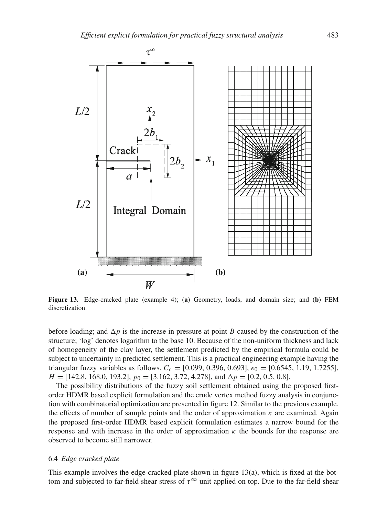

**Figure 13.** Edge-cracked plate (example 4); (**a**) Geometry, loads, and domain size; and (**b**) FEM discretization.

before loading; and  $\Delta p$  is the increase in pressure at point *B* caused by the construction of the structure; 'log' denotes logarithm to the base 10. Because of the non-uniform thickness and lack of homogeneity of the clay layer, the settlement predicted by the empirical formula could be subject to uncertainty in predicted settlement. This is a practical engineering example having the triangular fuzzy variables as follows.  $C_c = [0.099, 0.396, 0.693]$ ,  $e_0 = [0.6545, 1.19, 1.7255]$ ,  $H = [142.8, 168.0, 193.2], p_0 = [3.162, 3.72, 4.278], \text{ and } \Delta p = [0.2, 0.5, 0.8].$ 

The possibility distributions of the fuzzy soil settlement obtained using the proposed firstorder HDMR based explicit formulation and the crude vertex method fuzzy analysis in conjunction with combinatorial optimization are presented in figure 12. Similar to the previous example, the effects of number of sample points and the order of approximation  $\kappa$  are examined. Again the proposed first-order HDMR based explicit formulation estimates a narrow bound for the response and with increase in the order of approximation  $\kappa$  the bounds for the response are observed to become still narrower.

# 6.4 *Edge cracked plate*

This example involves the edge-cracked plate shown in figure 13(a), which is fixed at the bottom and subjected to far-field shear stress of  $\tau^{\infty}$  unit applied on top. Due to the far-field shear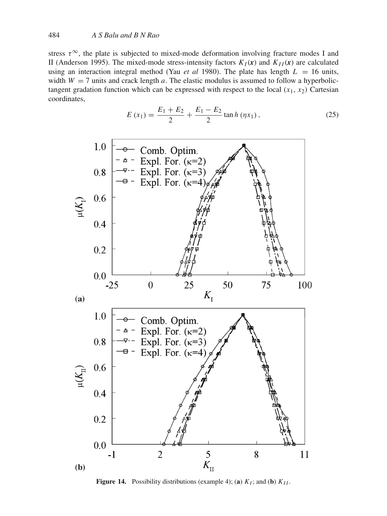stress  $\tau^{\infty}$ , the plate is subjected to mixed-mode deformation involving fracture modes I and II (Anderson 1995). The mixed-mode stress-intensity factors  $K_I(x)$  and  $K_{II}(x)$  are calculated using an interaction integral method (Yau *et al* 1980). The plate has length  $L = 16$  units, width  $W = 7$  units and crack length *a*. The elastic modulus is assumed to follow a hyperbolictangent gradation function which can be expressed with respect to the local  $(x_1, x_2)$  Cartesian coordinates,

$$
E(x_1) = \frac{E_1 + E_2}{2} + \frac{E_1 - E_2}{2} \tan h(\eta x_1),
$$
 (25)



**Figure 14.** Possibility distributions (example 4); (a)  $K_I$ ; and (b)  $K_{II}$ .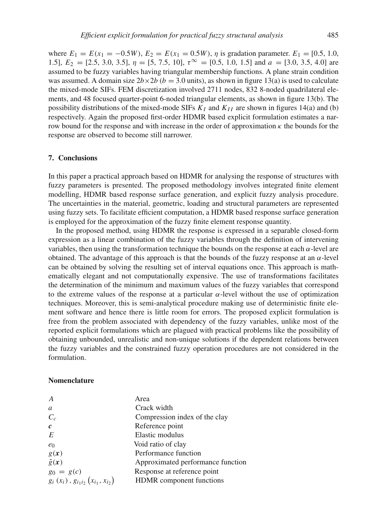where  $E_1 = E(x_1 = -0.5W)$ ,  $E_2 = E(x_1 = 0.5W)$ ,  $\eta$  is gradation parameter.  $E_1 = [0.5, 1.0,$ 1.5],  $E_2 = [2.5, 3.0, 3.5], \eta = [5, 7.5, 10], \tau^{\infty} = [0.5, 1.0, 1.5]$  and  $a = [3.0, 3.5, 4.0]$  are assumed to be fuzzy variables having triangular membership functions. A plane strain condition was assumed. A domain size  $2b \times 2b$  ( $b = 3.0$  units), as shown in figure 13(a) is used to calculate the mixed-mode SIFs. FEM discretization involved 2711 nodes, 832 8-noded quadrilateral elements, and 48 focused quarter-point 6-noded triangular elements, as shown in figure 13(b). The possibility distributions of the mixed-mode SIFs  $K_I$  and  $K_{II}$  are shown in figures 14(a) and (b) respectively. Again the proposed first-order HDMR based explicit formulation estimates a narrow bound for the response and with increase in the order of approximation  $\kappa$  the bounds for the response are observed to become still narrower.

# **7. Conclusions**

In this paper a practical approach based on HDMR for analysing the response of structures with fuzzy parameters is presented. The proposed methodology involves integrated finite element modelling, HDMR based response surface generation, and explicit fuzzy analysis procedure. The uncertainties in the material, geometric, loading and structural parameters are represented using fuzzy sets. To facilitate efficient computation, a HDMR based response surface generation is employed for the approximation of the fuzzy finite element response quantity.

In the proposed method, using HDMR the response is expressed in a separable closed-form expression as a linear combination of the fuzzy variables through the definition of intervening variables, then using the transformation technique the bounds on the response at each  $\alpha$ -level are obtained. The advantage of this approach is that the bounds of the fuzzy response at an  $\alpha$ -level can be obtained by solving the resulting set of interval equations once. This approach is mathematically elegant and not computationally expensive. The use of transformations facilitates the determination of the minimum and maximum values of the fuzzy variables that correspond to the extreme values of the response at a particular  $\alpha$ -level without the use of optimization techniques. Moreover, this is semi-analytical procedure making use of deterministic finite element software and hence there is little room for errors. The proposed explicit formulation is free from the problem associated with dependency of the fuzzy variables, unlike most of the reported explicit formulations which are plagued with practical problems like the possibility of obtaining unbounded, unrealistic and non-unique solutions if the dependent relations between the fuzzy variables and the constrained fuzzy operation procedures are not considered in the formulation.

#### **Nomenclature**

|                                          | Area                              |
|------------------------------------------|-----------------------------------|
| a                                        | Crack width                       |
| $C_c$                                    | Compression index of the clay     |
| $\mathcal{C}_{\mathcal{C}}$              | Reference point                   |
| E                                        | Elastic modulus                   |
| $e_0$                                    | Void ratio of clay                |
| g(x)                                     | Performance function              |
| $\tilde{g}(x)$                           | Approximated performance function |
| $g_0 = g(c)$                             | Response at reference point       |
| $g_i(x_i), g_{i_1i_2}(x_{i_1}, x_{i_2})$ | HDMR component functions          |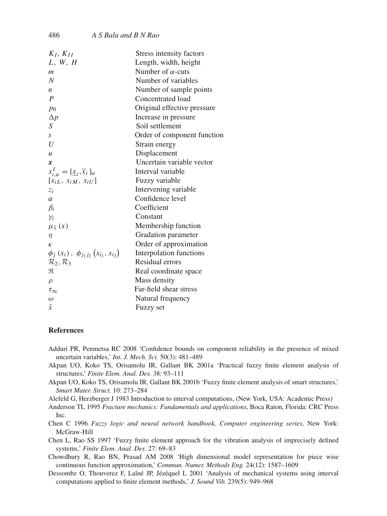| $K_I, K_{II}$                                                 | Stress intensity factors    |
|---------------------------------------------------------------|-----------------------------|
| L, W, H                                                       | Length, width, height       |
| $\boldsymbol{m}$                                              | Number of $\alpha$ -cuts    |
| N                                                             | Number of variables         |
| n                                                             | Number of sample points     |
| $\boldsymbol{P}$                                              | Concentrated load           |
| $p_0$                                                         | Original effective pressure |
| $\Delta p$                                                    | Increase in pressure        |
| S                                                             | Soil settlement             |
| S                                                             | Order of component function |
| U                                                             | Strain energy               |
| $\mathcal{U}$                                                 | Displacement                |
| $\boldsymbol{x}$                                              | Uncertain variable vector   |
| $x_{i,\alpha}^I = [\underline{x}_i, \overline{x}_i]_{\alpha}$ | Interval variable           |
| $[x_{iL}, x_{iM}, x_{iU}]$                                    | Fuzzy variable              |
| $z_i$                                                         | Intervening variable        |
| $\alpha$                                                      | Confidence level            |
| $\beta_i$                                                     | Coefficient                 |
| $\gamma_i$                                                    | Constant                    |
| $\mu_{\tilde{x}}(x)$                                          | Membership function         |
| $\eta$                                                        | Gradation parameter         |
| $\kappa$                                                      | Order of approximation      |
| $\phi_j(x_i), \phi_{j_1j_2}(x_{i_1}, x_{i_2})$                | Interpolation functions     |
| $\mathcal{R}_2, \mathcal{R}_3$                                | Residual errors             |
| R                                                             | Real coordinate space       |
| $\rho$                                                        | Mass density                |
| $\tau_{\infty}$                                               | Far-field shear stress      |
| $\omega$                                                      | Natural frequency           |
| $\tilde{x}$                                                   | Fuzzy set                   |
|                                                               |                             |

# **References**

Adduri PR, Penmetsa RC 2008 'Confidence bounds on component reliability in the presence of mixed uncertain variables,' *Int. J. Mech. Sci.* 50(3): 481–489

Akpan UO, Koko TS, Orisamolu IR, Gallant BK 2001a 'Practical fuzzy finite element analysis of structures,' *Finite Elem. Anal. Des.* 38: 93–111

Akpan UO, Koko TS, Orisamolu IR, Gallant BK 2001b 'Fuzzy finite element analysis of smart structures,' *Smart Mater. Struct.* 10: 273–284

Alefeld G, Herzberger J 1983 Introduction to interval computations, (New York, USA: Academic Press)

- Anderson TL 1995 *Fracture mechanics: Fundamentals and applications*, Boca Raton, Florida: CRC Press Inc.
- Chen C 1996 *Fuzzy logic and neural network handbook, Computer engineering series*, New York: McGraw-Hill

Chen L, Rao SS 1997 'Fuzzy finite element approach for the vibration analysis of imprecisely defined systems,' *Finite Elem. Anal. Des.* 27: 69–83

Chowdhury R, Rao BN, Prasad AM 2008 'High dimensional model representation for piece wise continuous function approximation,' *Commun. Numer. Methods Eng.* 24(12): 1587–1609

Dessombz O, Thouverez F, Laîné JP, Jézéquel L 2001 'Analysis of mechanical systems using interval computations applied to finite element methods,' *J. Sound Vib.* 239(5): 949–968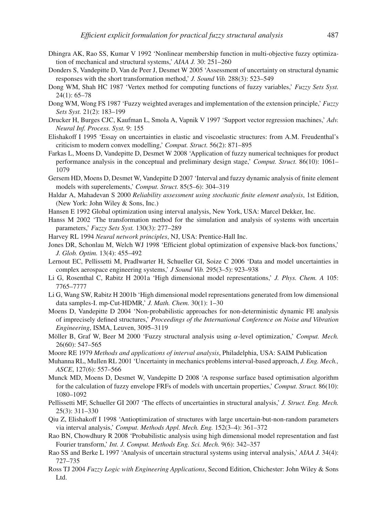- Dhingra AK, Rao SS, Kumar V 1992 'Nonlinear membership function in multi-objective fuzzy optimization of mechanical and structural systems,' *AIAA J.* 30: 251–260
- Donders S, Vandepitte D, Van de Peer J, Desmet W 2005 'Assessment of uncertainty on structural dynamic responses with the short transformation method,' *J. Sound Vib.* 288(3): 523–549
- Dong WM, Shah HC 1987 'Vertex method for computing functions of fuzzy variables,' *Fuzzy Sets Syst.* 24(1): 65–78
- Dong WM, Wong FS 1987 'Fuzzy weighted averages and implementation of the extension principle,' *Fuzzy Sets Syst.* 21(2): 183–199
- Drucker H, Burges CJC, Kaufman L, Smola A, Vapnik V 1997 'Support vector regression machines,' *Adv. Neural Inf. Process. Syst.* 9: 155
- Elishakoff I 1995 'Essay on uncertainties in elastic and viscoelastic structures: from A.M. Freudenthal's criticism to modern convex modelling,' *Comput. Struct.* 56(2): 871–895
- Farkas L, Moens D, Vandepitte D, Desmet W 2008 'Application of fuzzy numerical techniques for product performance analysis in the conceptual and preliminary design stage,' *Comput. Struct.* 86(10): 1061– 1079
- Gersem HD, Moens D, Desmet W, Vandepitte D 2007 'Interval and fuzzy dynamic analysis of finite element models with superelements,' *Comput. Struct.* 85(5–6): 304–319
- Haldar A, Mahadevan S 2000 *Reliability assessment using stochastic finite element analysis*, 1st Edition, (New York: John Wiley & Sons, Inc.)
- Hansen E 1992 Global optimization using interval analysis, New York, USA: Marcel Dekker, Inc.
- Hanss M 2002 'The transformation method for the simulation and analysis of systems with uncertain parameters,' *Fuzzy Sets Syst.* 130(3): 277–289
- Harvey RL 1994 *Neural network principles*, NJ, USA: Prentice-Hall Inc.
- Jones DR, Schonlau M, Welch WJ 1998 'Efficient global optimization of expensive black-box functions,' *J. Glob. Optim.* 13(4): 455–492
- Lernout EC, Pellissetti M, Pradlwarter H, Schueller GI, Soize C 2006 'Data and model uncertainties in complex aerospace engineering systems,' *J Sound Vib.* 295(3–5): 923–938
- Li G, Rosenthal C, Rabitz H 2001a 'High dimensional model representations,' *J. Phys. Chem. A* 105: 7765–7777
- Li G, Wang SW, Rabitz H 2001b 'High dimensional model representations generated from low dimensional data samples-I. mp-Cut-HDMR,' *J. Math. Chem.* 30(1): 1–30
- Moens D, Vandepitte D 2004 'Non-probabilistic approaches for non-deterministic dynamic FE analysis of imprecisely defined structures,' *Proceedings of the International Conference on Noise and Vibration Engineering*, ISMA, Leuven, 3095–3119
- Möller B, Graf W, Beer M 2000 'Fuzzy structural analysis using α-level optimization,' *Comput. Mech.* 26(60): 547–565
- Moore RE 1979 *Methods and applications of interval analysis*, Philadelphia, USA: SAIM Publication
- Muhanna RL, Mullen RL 2001 'Uncertainty in mechanics problems interval-based approach, *J. Eng. Mech., ASCE*, 127(6): 557–566
- Munck MD, Moens D, Desmet W, Vandepitte D 2008 'A response surface based optimisation algorithm for the calculation of fuzzy envelope FRFs of models with uncertain properties,' *Comput. Struct.* 86(10): 1080–1092
- Pellissetti MF, Schueller GI 2007 'The effects of uncertainties in structural analysis,' *J. Struct. Eng. Mech.* 25(3): 311–330
- Qiu Z, Elishakoff I 1998 'Antioptimization of structures with large uncertain-but-non-random parameters via interval analysis,' *Comput. Methods Appl. Mech. Eng.* 152(3–4): 361–372
- Rao BN, Chowdhury R 2008 'Probabilistic analysis using high dimensional model representation and fast Fourier transform,' *Int. J. Comput. Methods Eng. Sci. Mech.* 9(6): 342–357
- Rao SS and Berke L 1997 'Analysis of uncertain structural systems using interval analysis,' *AIAA J.* 34(4): 727–735
- Ross TJ 2004 *Fuzzy Logic with Engineering Applications*, Second Edition, Chichester: John Wiley & Sons Ltd.